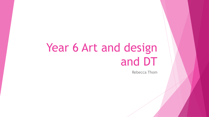# Year 6 Art and design and DT

Rebecca Thom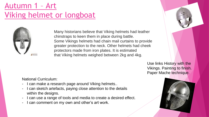## Autumn 1 – Art Viking helmet or longboat



Many historians believe that Viking helmets had leather chinstraps to keen them in place during battle. Some Vikings helmets had chain mail curtains to provide greater protection to the neck. Other helmets had cheek protectors made from iron plates. It is estimated that Viking helmets weighed between 2kg and 4kg.

> Use links History with the Vikings. Painting to finish. Paper Mache technique.

National Curriculum:

- I can make a research page around Viking helmets..
- I can sketch artefacts, paying close attention to the details within the designs.
- I can use a range of tools and media to create a desired effect.
- I can comment on my own and other's art work.

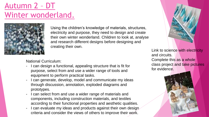## Autumn 2 – DT Winter wonderland.



Using the children's knowledge of materials, structures, electricity and purpose, they need to design and create their own winter wonderland. Children to look at, analyse and research different designs before designing and creating their own.

National Curriculum:

- I can design a functional, appealing structure that is fit for purpose, select from and use a wider range of tools and equipment to perform practical tasks.
- I can generate, develop, model and communicate my ideas through discussion, annotation, exploded diagrams and prototypes.
- I can select from and use a wider range of materials and components, including construction materials, and textiles according to their functional properties and aesthetic qualities.
- I can evaluate my ideas and products against their own design. criteria and consider the views of others to improve their work.



Link to science with electricity and circuits. Complete this as a whole class project and take pictures for evidence.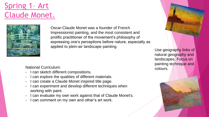#### Spring 1– Art Claude Monet.



Oscar-Claude Monet was a founder of French Impressionist painting, and the most consistent and prolific practitioner of the movement's philosophy of expressing one's perceptions before nature, especially as applied to plein-air landscape painting.

National Curriculum:

- I can sketch different compositions.
- I can explore the qualities of different materials.
- I can create a Claude Monet inspired title page.
- I can experiment and develop different techniques when working with paint.
- I can evaluate my own work against that of Claude Monet's.
- I can comment on my own and other's art work.

Use geography links of natural geography and landscapes. Focus on painting technique and colours.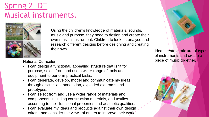## Spring 2– DT Musical instruments.



Using the children's knowledge of materials, sounds, music and purpose, they need to design and create their own musical instrument. Children to look at, analyse and research different designs before designing and creating their own.

National Curriculum:

- I can design a functional, appealing structure that is fit for purpose, select from and use a wider range of tools and equipment to perform practical tasks.
- I can generate, develop, model and communicate my ideas through discussion, annotation, exploded diagrams and prototypes.
- I can select from and use a wider range of materials and components, including construction materials, and textiles according to their functional properties and aesthetic qualities.
- I can evaluate my ideas and products against their own design criteria and consider the views of others to improve their work.



Idea: create a mixture of types of instruments and create a piece of music together.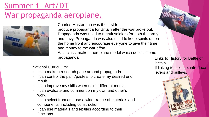## Summer 1– Art/DT War propaganda aeroplane.



Charles Masterman was the first to

produce propaganda for Britain after the war broke out. Propaganda was used to recruit soldiers for both the army and navy. Propaganda was also used to keep spirits up on the home front and encourage everyone to give their time and money to the war effort.

As a class, make a aeroplane model which depicts some propaganda.

Links to History for Battle of Britain.

If linking to science, introduce levers and pulleys.



National Curriculum:

- I can make a research page around propaganda.
- I can control the paint/pastels to create my desired end result.
- I can improve my skills when using different media.
- I can evaluate and comment on my own and other's work.
- I can select from and use a wider range of materials and components, including construction.
- I can use materials and textiles according to their functions.